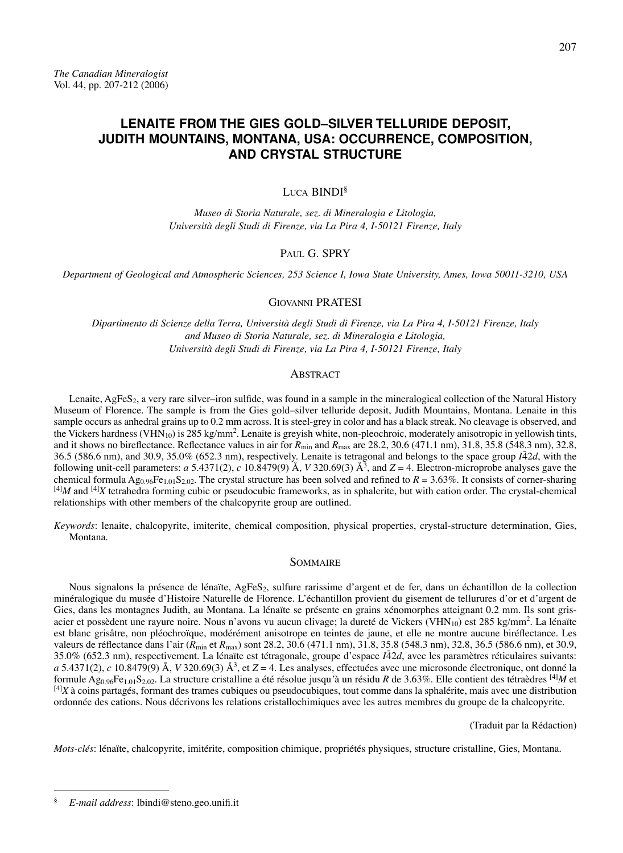# **LENAITE FROM THE GIES GOLD–SILVER TELLURIDE DEPOSIT, JUDITH MOUNTAINS, MONTANA, USA: OCCURRENCE, COMPOSITION, AND CRYSTAL STRUCTURE**

# Luca BINDI<sup>§</sup>

*Museo di Storia Naturale, sez. di Mineralogia e Litologia, Università degli Studi di Firenze, via La Pira 4, I-50121 Firenze, Italy*

# PAUL G. SPRY

*Department of Geological and Atmospheric Sciences, 253 Science I, Iowa State University, Ames, Iowa 50011-3210, USA*

### Giovanni PRATESI

*Dipartimento di Scienze della Terra, Università degli Studi di Firenze, via La Pira 4, I-50121 Firenze, Italy and Museo di Storia Naturale, sez. di Mineralogia e Litologia, Università degli Studi di Firenze, via La Pira 4, I-50121 Firenze, Italy*

### **ABSTRACT**

Lenaite, AgFeS<sub>2</sub>, a very rare silver–iron sulfide, was found in a sample in the mineralogical collection of the Natural History Museum of Florence. The sample is from the Gies gold–silver telluride deposit, Judith Mountains, Montana. Lenaite in this sample occurs as anhedral grains up to 0.2 mm across. It is steel-grey in color and has a black streak. No cleavage is observed, and the Vickers hardness (VHN<sub>10</sub>) is 285 kg/mm<sup>2</sup>. Lenaite is greyish white, non-pleochroic, moderately anisotropic in yellowish tints, and it shows no bireflectance. Reflectance values in air for  $R_{\text{min}}$  and  $R_{\text{max}}$  are 28.2, 30.6 (471.1 nm), 31.8, 35.8 (548.3 nm), 32.8, 36.5 (586.6 nm), and 30.9, 35.0% (652.3 nm), respectively. Lenaite is tetragonal and belongs to the space group  $I\bar{4}2d$ , with the following unit-cell parameters: *a* 5.4371(2), *c* 10.8479(9) Å, *V* 320.69(3) Å<sup>3</sup>, and *Z* = 4. Electron-microprobe analyses gave the chemical formula  $Ag_{0.96}Fe_{1.01}S_{2.02}$ . The crystal structure has been solved and refined to  $R = 3.63\%$ . It consists of corner-sharing [4]*M* and [4]*X* tetrahedra forming cubic or pseudocubic frameworks, as in sphalerite, but with cation order. The crystal-chemical relationships with other members of the chalcopyrite group are outlined.

*Keywords*: lenaite, chalcopyrite, imiterite, chemical composition, physical properties, crystal-structure determination, Gies, Montana.

### **SOMMAIRE**

Nous signalons la présence de lénaïte, AgFeS<sub>2</sub>, sulfure rarissime d'argent et de fer, dans un échantillon de la collection minéralogique du musée d'Histoire Naturelle de Florence. L'échantillon provient du gisement de tellurures d'or et d'argent de Gies, dans les montagnes Judith, au Montana. La lénaïte se présente en grains xénomorphes atteignant 0.2 mm. Ils sont grisacier et possèdent une rayure noire. Nous n'avons vu aucun clivage; la dureté de Vickers (VHN<sub>10</sub>) est 285 kg/mm<sup>2</sup>. La lénaïte est blanc grisâtre, non pléochroïque, modérément anisotrope en teintes de jaune, et elle ne montre aucune biréflectance. Les valeurs de réflectance dans l'air ( $R_{\text{min}}$  et  $R_{\text{max}}$ ) sont 28.2, 30.6 (471.1 nm), 31.8, 35.8 (548.3 nm), 32.8, 36.5 (586.6 nm), et 30.9, 35.0% (652.3 nm), respectivement. La lénaïte est tétragonale, groupe d'espace *I*42*d*, avec les paramètres réticulaires suivants: *a* 5.4371(2), *c* 10.8479(9) Å, *V* 320.69(3) Å3, et *Z* = 4. Les analyses, effectuées avec une microsonde électronique, ont donné la formule Ag0.96Fe1.01S2.02. La structure cristalline a été résolue jusqu*'*à un résidu *R* de 3.63%. Elle contient des tétraèdres [4]*M* et [4]*X* à coins partagés, formant des trames cubiques ou pseudocubiques, tout comme dans la sphalérite, mais avec une distribution ordonnée des cations. Nous décrivons les relations cristallochimiques avec les autres membres du groupe de la chalcopyrite.

(Traduit par la Rédaction)

*Mots-clés*: lénaïte, chalcopyrite, imitérite, composition chimique, propriétés physiques, structure cristalline, Gies, Montana.

<sup>§</sup> *E-mail address*: lbindi@steno.geo.unifi.it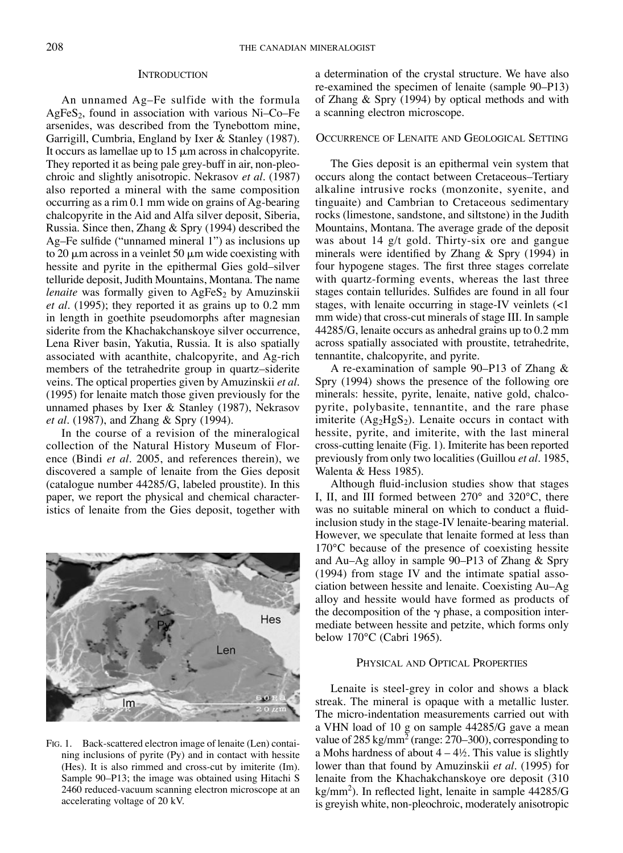#### **INTRODUCTION**

An unnamed Ag–Fe sulfide with the formula AgFe $S_2$ , found in association with various Ni–Co–Fe arsenides, was described from the Tynebottom mine, Garrigill, Cumbria, England by Ixer & Stanley (1987). It occurs as lamellae up to  $15 \mu m$  across in chalcopyrite. They reported it as being pale grey-buff in air, non-pleochroic and slightly anisotropic. Nekrasov *et al.* (1987) also reported a mineral with the same composition occurring as a rim 0.1 mm wide on grains of Ag-bearing chalcopyrite in the Aid and Alfa silver deposit, Siberia, Russia. Since then, Zhang & Spry (1994) described the Ag–Fe sulfide ("unnamed mineral 1") as inclusions up to 20  $\mu$ m across in a veinlet 50  $\mu$ m wide coexisting with hessite and pyrite in the epithermal Gies gold–silver telluride deposit, Judith Mountains, Montana. The name *lenaite* was formally given to AgFeS<sub>2</sub> by Amuzinskii *et al.* (1995); they reported it as grains up to 0.2 mm in length in goethite pseudomorphs after magnesian siderite from the Khachakchanskoye silver occurrence, Lena River basin, Yakutia, Russia. It is also spatially associated with acanthite, chalcopyrite, and Ag-rich members of the tetrahedrite group in quartz–siderite veins. The optical properties given by Amuzinskii *et al.* (1995) for lenaite match those given previously for the unnamed phases by Ixer & Stanley (1987), Nekrasov *et al.* (1987), and Zhang & Spry (1994).

In the course of a revision of the mineralogical collection of the Natural History Museum of Florence (Bindi *et al.* 2005, and references therein), we discovered a sample of lenaite from the Gies deposit (catalogue number 44285/G, labeled proustite). In this paper, we report the physical and chemical characteristics of lenaite from the Gies deposit, together with



Fig. 1. Back-scattered electron image of lenaite (Len) containing inclusions of pyrite (Py) and in contact with hessite (Hes). It is also rimmed and cross-cut by imiterite (Im). Sample 90–P13; the image was obtained using Hitachi S 2460 reduced-vacuum scanning electron microscope at an accelerating voltage of 20 kV.

a determination of the crystal structure. We have also re-examined the specimen of lenaite (sample 90–P13) of Zhang & Spry (1994) by optical methods and with a scanning electron microscope.

#### Occurrence of Lenaite and Geological Setting

The Gies deposit is an epithermal vein system that occurs along the contact between Cretaceous–Tertiary alkaline intrusive rocks (monzonite, syenite, and tinguaite) and Cambrian to Cretaceous sedimentary rocks (limestone, sandstone, and siltstone) in the Judith Mountains, Montana. The average grade of the deposit was about 14 g/t gold. Thirty-six ore and gangue minerals were identified by Zhang & Spry (1994) in four hypogene stages. The first three stages correlate with quartz-forming events, whereas the last three stages contain tellurides. Sulfides are found in all four stages, with lenaite occurring in stage-IV veinlets (<1 mm wide) that cross-cut minerals of stage III. In sample 44285/G, lenaite occurs as anhedral grains up to 0.2 mm across spatially associated with proustite, tetrahedrite, tennantite, chalcopyrite, and pyrite.

A re-examination of sample 90–P13 of Zhang & Spry (1994) shows the presence of the following ore minerals: hessite, pyrite, lenaite, native gold, chalcopyrite, polybasite, tennantite, and the rare phase imiterite  $(Ag_2HgS_2)$ . Lenaite occurs in contact with hessite, pyrite, and imiterite, with the last mineral cross-cutting lenaite (Fig. 1). Imiterite has been reported previously from only two localities (Guillou *et al.* 1985, Walenta & Hess 1985).

Although fluid-inclusion studies show that stages I, II, and III formed between 270° and 320°C, there was no suitable mineral on which to conduct a fluidinclusion study in the stage-IV lenaite-bearing material. However, we speculate that lenaite formed at less than 170°C because of the presence of coexisting hessite and Au–Ag alloy in sample 90–P13 of Zhang & Spry (1994) from stage IV and the intimate spatial association between hessite and lenaite. Coexisting Au–Ag alloy and hessite would have formed as products of the decomposition of the  $\gamma$  phase, a composition intermediate between hessite and petzite, which forms only below 170°C (Cabri 1965).

#### PHYSICAL AND OPTICAL PROPERTIES

Lenaite is steel-grey in color and shows a black streak. The mineral is opaque with a metallic luster. The micro-indentation measurements carried out with a VHN load of 10 g on sample 44285/G gave a mean value of 285 kg/mm<sup>2</sup> (range:  $270-300$ ), corresponding to a Mohs hardness of about  $4 - 4\frac{1}{2}$ . This value is slightly lower than that found by Amuzinskii *et al.* (1995) for lenaite from the Khachakchanskoye ore deposit (310 kg/mm<sup>2</sup>). In reflected light, lenaite in sample 44285/G is greyish white, non-pleochroic, moderately anisotropic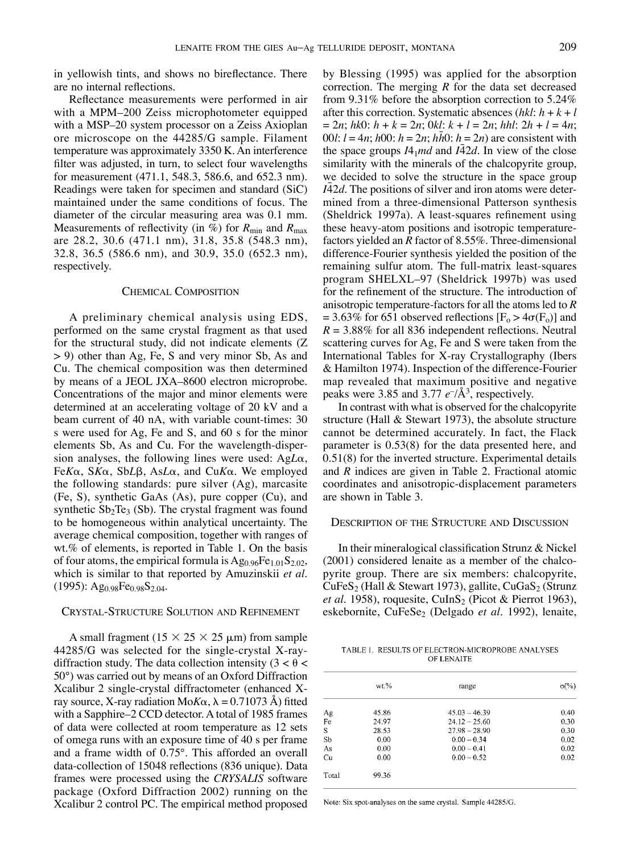in yellowish tints, and shows no bireflectance. There are no internal reflections.

Reflectance measurements were performed in air with a MPM–200 Zeiss microphotometer equipped with a MSP–20 system processor on a Zeiss Axioplan ore microscope on the 44285/G sample. Filament temperature was approximately 3350 K. An interference filter was adjusted, in turn, to select four wavelengths for measurement (471.1, 548.3, 586.6, and 652.3 nm). Readings were taken for specimen and standard (SiC) maintained under the same conditions of focus. The diameter of the circular measuring area was 0.1 mm. Measurements of reflectivity (in  $\%$ ) for  $R_{\text{min}}$  and  $R_{\text{max}}$ are 28.2, 30.6 (471.1 nm), 31.8, 35.8 (548.3 nm), 32.8, 36.5 (586.6 nm), and 30.9, 35.0 (652.3 nm), respectively.

### Chemical Composition

A preliminary chemical analysis using EDS, performed on the same crystal fragment as that used for the structural study, did not indicate elements (Z > 9) other than Ag, Fe, S and very minor Sb, As and Cu. The chemical composition was then determined by means of a JEOL JXA–8600 electron microprobe. Concentrations of the major and minor elements were determined at an accelerating voltage of 20 kV and a beam current of 40 nA, with variable count-times: 30 s were used for Ag, Fe and S, and 60 s for the minor elements Sb, As and Cu. For the wavelength-dispersion analyses, the following lines were used: Ag*L*a, Fe*K*a, S*K*a, Sb*L*b, As*L*a, and Cu*K*a. We employed the following standards: pure silver (Ag), marcasite (Fe, S), synthetic GaAs (As), pure copper (Cu), and synthetic  $Sb_2Te_3$  (Sb). The crystal fragment was found to be homogeneous within analytical uncertainty. The average chemical composition, together with ranges of wt.% of elements, is reported in Table 1. On the basis of four atoms, the empirical formula is  $Ag<sub>0.96</sub>Fe<sub>1.01</sub>S<sub>2.02</sub>$ , which is similar to that reported by Amuzinskii *et al.*  $(1995)$ : Ag<sub>0.98</sub>Fe<sub>0.98</sub>S<sub>2.04</sub>.

# Crystal-Structure Solution and Refinement

A small fragment ( $15 \times 25 \times 25 \mu$ m) from sample 44285/G was selected for the single-crystal X-raydiffraction study. The data collection intensity  $(3 < \theta <$ 50°) was carried out by means of an Oxford Diffraction Xcalibur 2 single-crystal diffractometer (enhanced Xray source, X-ray radiation Mo $K\alpha$ ,  $\lambda = 0.71073$  Å) fitted with a Sapphire–2 CCD detector. A total of 1985 frames of data were collected at room temperature as 12 sets of omega runs with an exposure time of 40 s per frame and a frame width of 0.75°. This afforded an overall data-collection of 15048 reflections (836 unique). Data frames were processed using the *CRYSALIS* software package (Oxford Diffraction 2002) running on the Xcalibur 2 control PC. The empirical method proposed by Blessing (1995) was applied for the absorption correction. The merging *R* for the data set decreased from 9.31% before the absorption correction to 5.24% after this correction. Systematic absences (*hkl*: *h* + *k* + *l*  $= 2n$ ;  $hk0: h + k = 2n$ ;  $0kl: k + l = 2n$ ;  $hhl: 2h + l = 4n$ ; 00*l*:  $l = 4n$ ;  $h00$ :  $h = 2n$ ;  $h\bar{h}0$ :  $h = 2n$ ) are consistent with the space groups  $I4_1$ *md* and  $I\overline{4}2d$ . In view of the close similarity with the minerals of the chalcopyrite group, we decided to solve the structure in the space group *I* $\overline{4}$ 2*d*. The positions of silver and iron atoms were determined from a three-dimensional Patterson synthesis (Sheldrick 1997a). A least-squares refinement using these heavy-atom positions and isotropic temperaturefactors yielded an *R* factor of 8.55%. Three-dimensional difference-Fourier synthesis yielded the position of the remaining sulfur atom. The full-matrix least-squares program SHELXL–97 (Sheldrick 1997b) was used for the refinement of the structure. The introduction of anisotropic temperature-factors for all the atoms led to *R* = 3.63% for 651 observed reflections  $[F_0 > 4\sigma(F_0)]$  and  $R = 3.88\%$  for all 836 independent reflections. Neutral scattering curves for Ag, Fe and S were taken from the International Tables for X-ray Crystallography (Ibers & Hamilton 1974). Inspection of the difference-Fourier map revealed that maximum positive and negative peaks were 3.85 and 3.77  $e^{-}/\text{\AA}^3$ , respectively.

In contrast with what is observed for the chalcopyrite structure (Hall & Stewart 1973), the absolute structure cannot be determined accurately. In fact, the Flack parameter is 0.53(8) for the data presented here, and 0.51(8) for the inverted structure. Experimental details and *R* indices are given in Table 2. Fractional atomic coordinates and anisotropic-displacement parameters are shown in Table 3.

#### Description of the Structure and Discussion

In their mineralogical classification Strunz & Nickel (2001) considered lenaite as a member of the chalcopyrite group. There are six members: chalcopyrite,  $CuFeS<sub>2</sub>$  (Hall & Stewart 1973), gallite, CuGaS<sub>2</sub> (Strunz *et al.* 1958), roquesite, CuInS<sub>2</sub> (Picot & Pierrot 1963), eskebornite, CuFeSe<sub>2</sub> (Delgado et al. 1992), lenaite,

TABLE 1. RESULTS OF ELECTRON-MICROPROBE ANALYSES OF LENAITE

|       | $wt$ % | range           | $\sigma$ (%) |
|-------|--------|-----------------|--------------|
| Ag    | 45.86  | $45.03 - 46.39$ | 0.40         |
| Fe    | 24.97  | $24.12 - 25.60$ | 0.30         |
| S     | 28.53  | $27.98 - 28.90$ | 0.30         |
| Sb    | 0.00   | $0.00 - 0.34$   | 0.02         |
| As    | 0.00   | $0.00 - 0.41$   | 0.02         |
| Cu    | 0.00   | $0.00 - 0.52$   | 0.02         |
| Total | 99.36  |                 |              |

Note: Six spot-analyses on the same crystal. Sample 44285/G.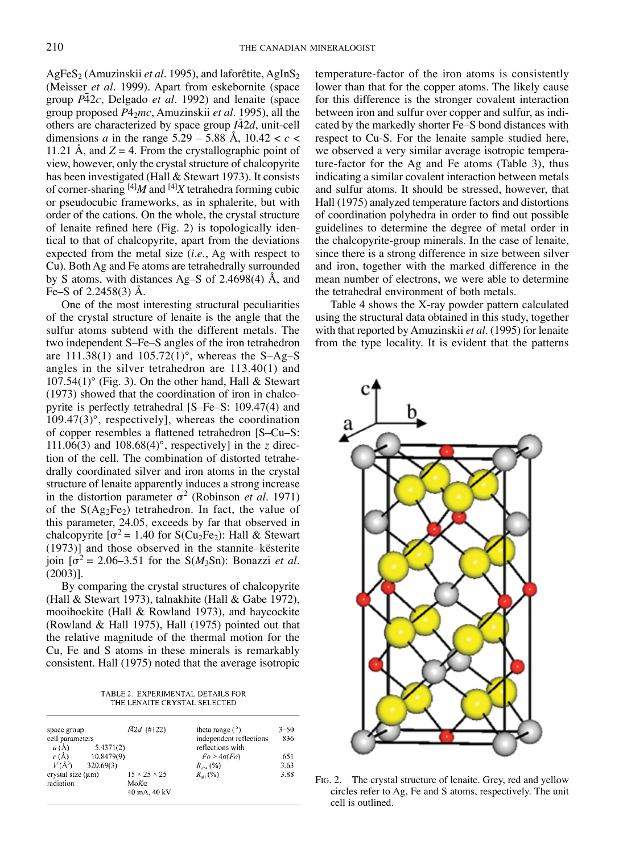AgFeS<sub>2</sub> (Amuzinskii *et al.* 1995), and laforêtite, AgInS<sub>2</sub> (Meisser *et al.* 1999). Apart from eskebornite (space group *P*¯ 42*c*, Delgado *et al.* 1992) and lenaite (space group proposed *P*42*mc*, Amuzinskii *et al.* 1995), all the others are characterized by space group  $I\bar{4}2d$ , unit-cell dimensions *a* in the range  $5.29 - 5.88$  Å,  $10.42 < c <$ 11.21 Å, and  $Z = 4$ . From the crystallographic point of view, however, only the crystal structure of chalcopyrite has been investigated (Hall & Stewart 1973). It consists of corner-sharing [4]*M* and [4]*X* tetrahedra forming cubic or pseudocubic frameworks, as in sphalerite, but with order of the cations. On the whole, the crystal structure of lenaite refined here (Fig. 2) is topologically identical to that of chalcopyrite, apart from the deviations expected from the metal size (*i.e*., Ag with respect to Cu). Both Ag and Fe atoms are tetrahedrally surrounded by S atoms, with distances Ag–S of 2.4698(4) Å, and Fe–S of 2.2458(3) Å.

One of the most interesting structural peculiarities of the crystal structure of lenaite is the angle that the sulfur atoms subtend with the different metals. The two independent S–Fe–S angles of the iron tetrahedron are  $111.38(1)$  and  $105.72(1)$ °, whereas the S-Ag-S angles in the silver tetrahedron are 113.40(1) and  $107.54(1)$ ° (Fig. 3). On the other hand, Hall & Stewart (1973) showed that the coordination of iron in chalcopyrite is perfectly tetrahedral [S–Fe–S: 109.47(4) and 109.47(3)°, respectively], whereas the coordination of copper resembles a flattened tetrahedron [S–Cu–S:  $111.06(3)$  and  $108.68(4)$ °, respectively] in the *z* direction of the cell. The combination of distorted tetrahedrally coordinated silver and iron atoms in the crystal structure of lenaite apparently induces a strong increase in the distortion parameter  $\sigma^2$  (Robinson *et al.* 1971) of the  $S(Ag_2Fe_2)$  tetrahedron. In fact, the value of this parameter, 24.05, exceeds by far that observed in chalcopyrite  $\sigma^2 = 1.40$  for S(Cu<sub>2</sub>Fe<sub>2</sub>): Hall & Stewart (1973)] and those observed in the stannite–kësterite join  $\sigma^2 = 2.06-3.51$  for the S( $M_3$ Sn): Bonazzi *et al.* (2003)].

By comparing the crystal structures of chalcopyrite (Hall & Stewart 1973), talnakhite (Hall & Gabe 1972), mooihoekite (Hall & Rowland 1973), and haycockite (Rowland & Hall 1975), Hall (1975) pointed out that the relative magnitude of the thermal motion for the Cu, Fe and S atoms in these minerals is remarkably consistent. Hall (1975) noted that the average isotropic

TABLE 2. EXPERIMENTAL DETAILS FOR THE LENAITE CRYSTAL SELECTED

| space group<br>cell parameters | <i>FA2d</i> (#122)       | theta range $(°)$<br>independent reflections | $3 - 50$<br>836 |
|--------------------------------|--------------------------|----------------------------------------------|-----------------|
| a(A)                           | 5.4371(2)                | reflections with                             |                 |
| c(A)                           | 10.8479(9)               | $Fo > 4\sigma(Fo)$                           | 651             |
| $V(\rm \AA^3)$<br>320.69(3)    |                          | $R_{obs}$ (%)                                | 3.63            |
| crystal size (um)              | $15 \times 25 \times 25$ | $R_{-1}$ (%)                                 | 3.88            |
| radiation                      | MoKa                     |                                              |                 |
|                                | 40 mA, 40 kV             |                                              |                 |

temperature-factor of the iron atoms is consistently lower than that for the copper atoms. The likely cause for this difference is the stronger covalent interaction between iron and sulfur over copper and sulfur, as indicated by the markedly shorter Fe–S bond distances with respect to Cu-S. For the lenaite sample studied here, we observed a very similar average isotropic temperature-factor for the Ag and Fe atoms (Table 3), thus indicating a similar covalent interaction between metals and sulfur atoms. It should be stressed, however, that Hall (1975) analyzed temperature factors and distortions of coordination polyhedra in order to find out possible guidelines to determine the degree of metal order in the chalcopyrite-group minerals. In the case of lenaite, since there is a strong difference in size between silver and iron, together with the marked difference in the mean number of electrons, we were able to determine the tetrahedral environment of both metals.

Table 4 shows the X-ray powder pattern calculated using the structural data obtained in this study, together with that reported by Amuzinskii *et al.* (1995) for lenaite from the type locality. It is evident that the patterns



Fig. 2. The crystal structure of lenaite. Grey, red and yellow circles refer to Ag, Fe and S atoms, respectively. The unit cell is outlined.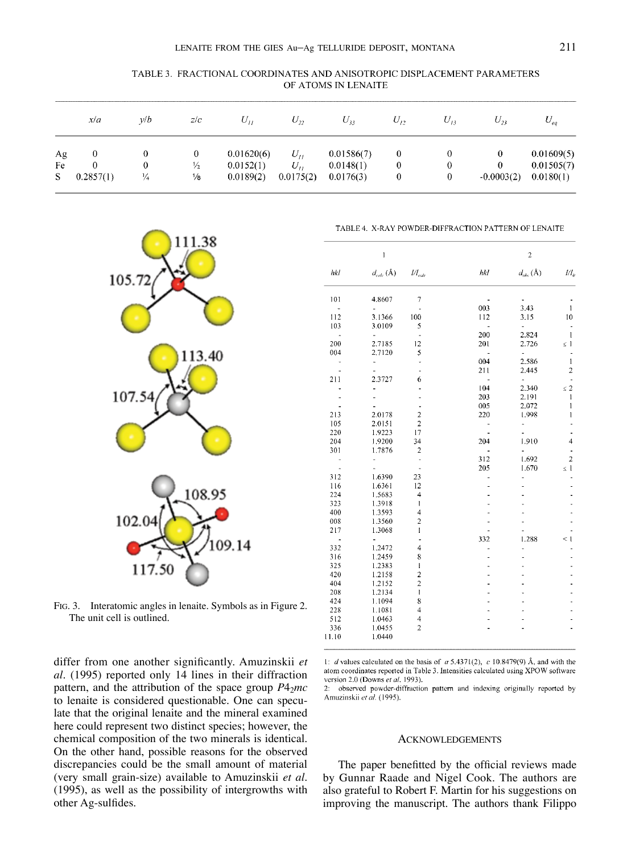| OF ATOMS IN LENAITE |     |     |          |                             |          |           |           |             |        |
|---------------------|-----|-----|----------|-----------------------------|----------|-----------|-----------|-------------|--------|
| xla                 | ν/b | Z/C | $U_{II}$ | $\mathcal{C}$ <sub>22</sub> | $U_{32}$ | $\cup$ 17 | $\cup$ 12 | <b>U</b> 72 | $\sim$ |

TABLE 3. FRACTIONAL COORDINATES AND ANISOTROPIC DISPLACEMENT PARAMETERS

|    | x/a       | v/b | Z/C           | $U_{II}$   | $U_{\nu}$ | $U_{33}$   | $U_{12}$ | $U_{13}$ | $U_{23}$     | $U_{eq}$   |
|----|-----------|-----|---------------|------------|-----------|------------|----------|----------|--------------|------------|
| Ag |           |     | U             | 0.01620(6) | $U_{tt}$  | 0.01586(7) |          |          |              | 0.01609(5) |
| Fe |           | o   | $\frac{1}{2}$ | 0.0152(1)  | $U_{II}$  | 0.0148(1)  |          | $\theta$ |              | 0.01505(7) |
| S  | 0.2857(1) | ¼   | 1/8           | 0.0189(2)  | 0.0175(2) | 0.0176(3)  | 0        | 0        | $-0.0003(2)$ | 0.0180(1)  |



Fig. 3. Interatomic angles in lenaite. Symbols as in Figure 2.

The unit cell is outlined.

TABLE 4. X-RAY POWDER-DIFFRACTION PATTERN OF LENAITE

|                | $\mathbf{1}$           |                                          |     | $\overline{c}$        |                |
|----------------|------------------------|------------------------------------------|-----|-----------------------|----------------|
| hkl            | $d_{calc}(\text{\AA})$ | $\mathcal{U}\mathcal{I}_{\mathit{calc}}$ | hkl | $d_{obs}(\text{\AA})$ | $Ul_{\theta}$  |
| 101            | 4.8607                 | $\overline{7}$                           |     |                       |                |
| $\overline{a}$ | ä,                     |                                          | 003 | 3.43                  | 1              |
| 112            | 3.1366                 | 100                                      | 112 | 3.15                  | 10             |
| 103            | 3.0109                 | 5                                        |     |                       |                |
| ÷              | ä,                     | ä,                                       | 200 | 2.824                 | 1              |
| 200            | 2.7185                 | 12                                       | 201 | 2.726                 | s 1            |
| 004            | 2.7120                 | 5                                        |     | ÷,                    |                |
| ÷              | ÷,                     |                                          | 004 | 2.586                 | $\mathbf{1}$   |
|                |                        |                                          | 211 | 2.445                 | $\overline{c}$ |
| 211            | 2.3727                 | 6                                        |     | ٠                     |                |
|                |                        |                                          | 104 | 2.340                 | $\leq 2$       |
|                |                        |                                          | 203 | 2.191                 | 1              |
|                |                        |                                          | 005 | 2.072                 | 1              |
| 213            | 2.0178                 | $\overline{c}$                           | 220 | 1.998                 | ı              |
| 105            | 2.0151                 | $\overline{2}$                           |     |                       |                |
| 220            | 1.9223                 | 17                                       |     |                       |                |
| 204            | 1.9200                 | 34                                       | 204 | 1.910                 | 4              |
| 301            | 1.7876                 | $\overline{\mathbf{c}}$                  |     |                       |                |
|                |                        | ÷,                                       | 312 | 1.692                 | $\overline{2}$ |
|                |                        |                                          | 205 | 1.670                 | $\leq 1$       |
| 312            | 1.6390                 | 23                                       |     |                       |                |
| 116            | 1.6361                 | 12                                       |     |                       |                |
| 224            | 1.5683                 | $\overline{4}$                           |     |                       |                |
| 323            | 1.3918                 | I                                        |     |                       |                |
| 400            | 1.3593                 | 4                                        |     |                       |                |
| 008            | 1.3560                 | $\overline{\mathbf{c}}$                  |     |                       |                |
| 217            | 1.3068                 | $\mathbf{I}$                             |     |                       |                |
| $\overline{a}$ | ä,                     |                                          | 332 | 1.288                 | < 1            |
| 332            | 1.2472                 | $\overline{4}$                           |     |                       |                |
| 316            | 1.2459                 | 8                                        |     |                       |                |
| 325            | 1.2383                 | I                                        |     |                       |                |
| 420            | 1.2158                 | $\overline{\mathbf{c}}$                  |     |                       |                |
| 404            | 1.2152                 | $\overline{c}$                           |     |                       |                |
| 208            | 1.2134                 | 1                                        |     |                       |                |
| 424            | 1.1094                 | 8                                        |     |                       |                |
| 228            | 1.1081                 | $\overline{4}$                           |     |                       |                |
| 512            | 1.0463                 | 4                                        |     |                       |                |
| 336            | 1.0455                 | 2                                        |     |                       |                |
| 11.10          | 1.0440                 |                                          |     |                       |                |
|                |                        |                                          |     |                       |                |

differ from one another significantly. Amuzinskii *et al.* (1995) reported only 14 lines in their diffraction pattern, and the attribution of the space group  $P4<sub>2</sub>mc$ to lenaite is considered questionable. One can speculate that the original lenaite and the mineral examined here could represent two distinct species; however, the chemical composition of the two minerals is identical. On the other hand, possible reasons for the observed discrepancies could be the small amount of material (very small grain-size) available to Amuzinskii *et al.* (1995), as well as the possibility of intergrowths with other Ag-sulfides.

1:  $d$  values calculated on the basis of  $a$  5.4371(2),  $c$  10.8479(9) Å, and with the atom coordinates reported in Table 3. Intensities calculated using XPOW software version 2.0 (Downs et al. 1993).

2: observed powder-diffraction pattern and indexing originally reported by Amuzinskii et al. (1995).

#### **ACKNOWLEDGEMENTS**

The paper benefitted by the official reviews made by Gunnar Raade and Nigel Cook. The authors are also grateful to Robert F. Martin for his suggestions on improving the manuscript. The authors thank Filippo